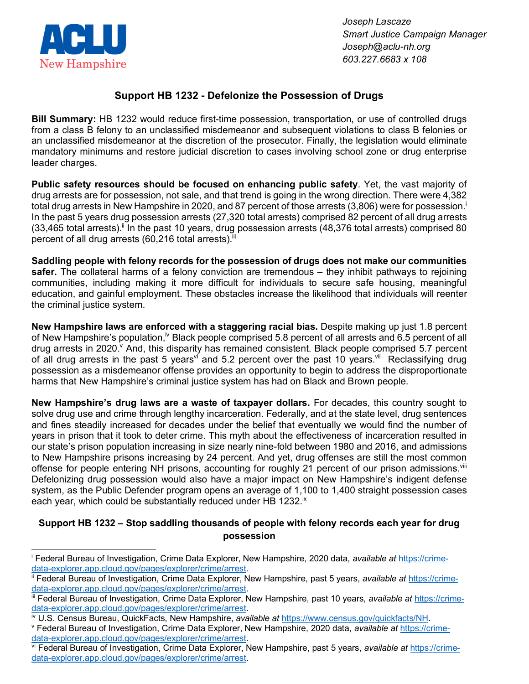

*Joseph Lascaze Smart Justice Campaign Manager Joseph@aclu-nh.org 603.227.6683 x 108*

## **Support HB 1232 - Defelonize the Possession of Drugs**

**Bill Summary:** HB 1232 would reduce first-time possession, transportation, or use of controlled drugs from a class B felony to an unclassified misdemeanor and subsequent violations to class B felonies or an unclassified misdemeanor at the discretion of the prosecutor. Finally, the legislation would eliminate mandatory minimums and restore judicial discretion to cases involving school zone or drug enterprise leader charges.

**Public safety resources should be focused on enhancing public safety**. Yet, the vast majority of drug arrests are for possession, not sale, and that trend is going in the wrong direction. There were 4,382 total drug arrests in New Hampshire in 2020, and 87 percent of those arrests (3,806) were for possession. In the past 5 years drug possession arrests (27,320 total arrests) comprised 82 percent of all drug arrests  $(33,465 \text{ total arrests})$ .<sup>ii</sup> In the past 10 years, drug possession arrests  $(48,376 \text{ total arrests})$  comprised 80 percent of all drug arrests  $(60, 216$  total arrests). $iiii$ 

**Saddling people with felony records for the possession of drugs does not make our communities safer.** The collateral harms of a felony conviction are tremendous – they inhibit pathways to rejoining communities, including making it more difficult for individuals to secure safe housing, meaningful education, and gainful employment. These obstacles increase the likelihood that individuals will reenter the criminal justice system.

**New Hampshire laws are enforced with a staggering racial bias.** Despite making up just 1.8 percent of New Hampshire's population,<sup>iv</sup> Black people comprised 5.8 percent of all arrests and 6.5 percent of all drug arrests in 2020. And, this disparity has remained consistent. Black people comprised 5.7 percent of all drug arrests in the past 5 years<sup>vi</sup> and 5.2 percent over the past 10 years.<sup>vii</sup> Reclassifying drug possession as a misdemeanor offense provides an opportunity to begin to address the disproportionate harms that New Hampshire's criminal justice system has had on Black and Brown people.

**New Hampshire's drug laws are a waste of taxpayer dollars.** For decades, this country sought to solve drug use and crime through lengthy incarceration. Federally, and at the state level, drug sentences and fines steadily increased for decades under the belief that eventually we would find the number of years in prison that it took to deter crime. This myth about the effectiveness of incarceration resulted in our state's prison population increasing in size nearly nine-fold between 1980 and 2016, and admissions to New Hampshire prisons increasing by 24 percent. And yet, drug offenses are still the most common offense for people entering NH prisons, accounting for roughly 21 percent of our prison admissions.<sup>viii</sup> Defelonizing drug possession would also have a major impact on New Hampshire's indigent defense system, as the Public Defender program opens an average of 1,100 to 1,400 straight possession cases each year, which could be substantially reduced under HB 1232. $^{\text{ix}}$ 

## **Support HB 1232 – Stop saddling thousands of people with felony records each year for drug possession**

<sup>i</sup> Federal Bureau of Investigation, Crime Data Explorer, New Hampshire, 2020 data, *available at* https://crimedata-explorer.app.cloud.gov/pages/explorer/crime/arrest.

ii Federal Bureau of Investigation, Crime Data Explorer, New Hampshire, past 5 years, *available at* https://crimedata-explorer.app.cloud.gov/pages/explorer/crime/arrest.

iii Federal Bureau of Investigation, Crime Data Explorer, New Hampshire, past 10 years, *available at https://crime*data-explorer.app.cloud.gov/pages/explorer/crime/arrest.

<sup>&</sup>lt;sup>iv</sup> U.S. Census Bureau, QuickFacts, New Hampshire, *available at https://www.census.gov/quickfacts/NH.*<br><sup>v</sup> Federal Bureau of Investigation, Crime Data Explorer, New Hampshire, 2020 data, *available at* https://crimedata-explorer.app.cloud.gov/pages/explorer/crime/arrest.<br>vi Federal Bureau of Investigation, Crime Data Explorer, New Hampshire, past 5 years, *available at https://crime-*

data-explorer.app.cloud.gov/pages/explorer/crime/arrest.